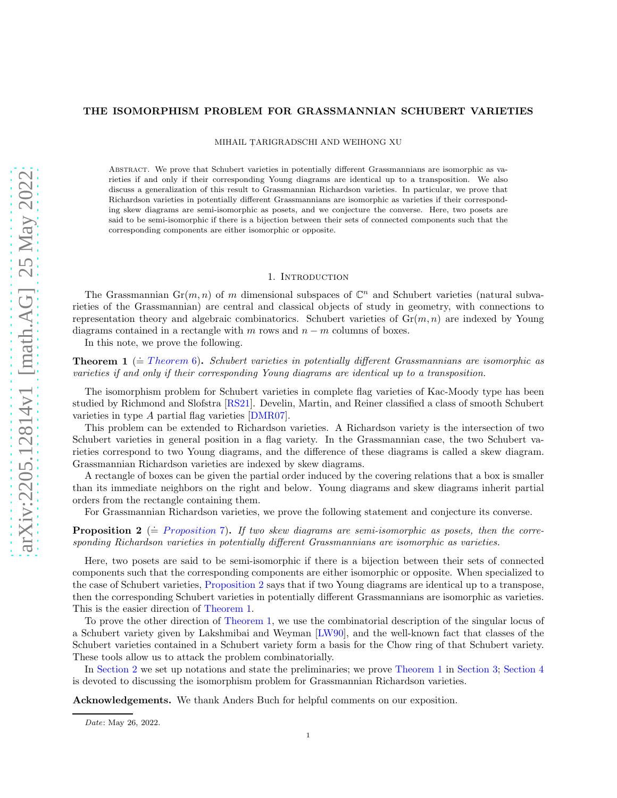## THE ISOMORPHISM PROBLEM FOR GRASSMANNIAN SCHUBERT VARIETIES

MIHAIL TARIGRADSCHI AND WEIHONG XU

Abstract. We prove that Schubert varieties in potentially different Grassmannians are isomorphic as varieties if and only if their corresponding Young diagrams are identical up to a transposition. We also discuss a generalization of this result to Grassmannian Richardson varieties. In particular, we prove that Richardson varieties in potentially different Grassmannians are isomorphic as varieties if their corresponding skew diagrams are semi-isomorphic as posets, and we conjecture the converse. Here, two posets are said to be semi-isomorphic if there is a bijection between their sets of connected components such that the corresponding components are either isomorphic or opposite.

### 1. INTRODUCTION

The Grassmannian  $\mathrm{Gr}(m, n)$  of m dimensional subspaces of  $\mathbb{C}^n$  and Schubert varieties (natural subvarieties of the Grassmannian) are central and classical objects of study in geometry, with connections to representation theory and algebraic combinatorics. Schubert varieties of  $Gr(m, n)$  are indexed by Young diagrams contained in a rectangle with m rows and  $n - m$  columns of boxes.

In this note, we prove the following.

<span id="page-0-1"></span>**Theorem 1** ( $\stackrel{\doteq}{=}$  Theorem 6). Schubert varieties in potentially different Grassmannians are isomorphic as varieties if and only if their corresponding Young diagrams are identical up to a transposition.

The isomorphism problem for Schubert varieties in complete flag varieties of Kac-Moody type has been studied by Richmond and Slofstra [\[RS21\]](#page-9-0). Develin, Martin, and Reiner classified a class of smooth Schubert varieties in type A partial flag varieties [\[DMR07\]](#page-9-1).

This problem can be extended to Richardson varieties. A Richardson variety is the intersection of two Schubert varieties in general position in a flag variety. In the Grassmannian case, the two Schubert varieties correspond to two Young diagrams, and the difference of these diagrams is called a skew diagram. Grassmannian Richardson varieties are indexed by skew diagrams.

A rectangle of boxes can be given the partial order induced by the covering relations that a box is smaller than its immediate neighbors on the right and below. Young diagrams and skew diagrams inherit partial orders from the rectangle containing them.

For Grassmannian Richardson varieties, we prove the following statement and conjecture its converse.

<span id="page-0-0"></span>**Proposition 2** ( $\stackrel{.}{=}$  *Proposition* 7). If two skew diagrams are semi-isomorphic as posets, then the corresponding Richardson varieties in potentially different Grassmannians are isomorphic as varieties.

Here, two posets are said to be semi-isomorphic if there is a bijection between their sets of connected components such that the corresponding components are either isomorphic or opposite. When specialized to the case of Schubert varieties, [Proposition 2](#page-0-0) says that if two Young diagrams are identical up to a transpose, then the corresponding Schubert varieties in potentially different Grassmannians are isomorphic as varieties. This is the easier direction of [Theorem 1.](#page-0-1)

To prove the other direction of [Theorem 1,](#page-0-1) we use the combinatorial description of the singular locus of a Schubert variety given by Lakshmibai and Weyman [\[LW90\]](#page-9-2), and the well-known fact that classes of the Schubert varieties contained in a Schubert variety form a basis for the Chow ring of that Schubert variety. These tools allow us to attack the problem combinatorially.

In [Section 2](#page-1-0) we set up notations and state the preliminaries; we prove [Theorem 1](#page-0-1) in [Section 3;](#page-2-1) [Section 4](#page-6-1) is devoted to discussing the isomorphism problem for Grassmannian Richardson varieties.

Acknowledgements. We thank Anders Buch for helpful comments on our exposition.

Date: May 26, 2022.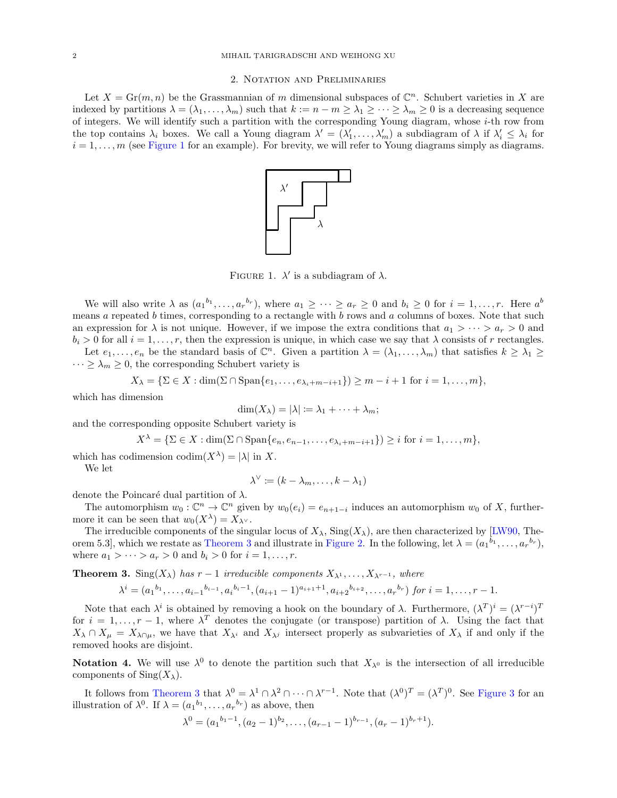#### 2. Notation and Preliminaries

<span id="page-1-1"></span><span id="page-1-0"></span>Let  $X = \text{Gr}(m, n)$  be the Grassmannian of m dimensional subspaces of  $\mathbb{C}^n$ . Schubert varieties in X are indexed by partitions  $\lambda = (\lambda_1, \ldots, \lambda_m)$  such that  $k := n - m \ge \lambda_1 \ge \cdots \ge \lambda_m \ge 0$  is a decreasing sequence of integers. We will identify such a partition with the corresponding Young diagram, whose  $i$ -th row from the top contains  $\lambda_i$  boxes. We call a Young diagram  $\lambda' = (\lambda'_1, \ldots, \lambda'_m)$  a subdiagram of  $\lambda$  if  $\lambda'_i \leq \lambda_i$  for  $i = 1, \ldots, m$  (see [Figure 1](#page-1-1) for an example). For brevity, we will refer to Young diagrams simply as diagrams.



FIGURE 1.  $\lambda'$  is a subdiagram of  $\lambda$ .

We will also write  $\lambda$  as  $(a_1^{b_1}, \ldots, a_r^{b_r}),$  where  $a_1 \geq \cdots \geq a_r \geq 0$  and  $b_i \geq 0$  for  $i = 1, \ldots, r$ . Here  $a^b$ means a repeated  $b$  times, corresponding to a rectangle with  $b$  rows and  $a$  columns of boxes. Note that such an expression for  $\lambda$  is not unique. However, if we impose the extra conditions that  $a_1 > \cdots > a_r > 0$  and  $b_i > 0$  for all  $i = 1, \ldots, r$ , then the expression is unique, in which case we say that  $\lambda$  consists of r rectangles. Let  $e_1, \ldots, e_n$  be the standard basis of  $\mathbb{C}^n$ . Given a partition  $\lambda = (\lambda_1, \ldots, \lambda_m)$  that satisfies  $k \geq \lambda_1 \geq$ 

 $\cdots \geq \lambda_m \geq 0$ , the corresponding Schubert variety is

$$
X_{\lambda} = \{ \Sigma \in X : \dim(\Sigma \cap \mathrm{Span}\{e_1, \ldots, e_{\lambda_i + m - i + 1}\}) \ge m - i + 1 \text{ for } i = 1, \ldots, m \},
$$

which has dimension

$$
\dim(X_{\lambda}) = |\lambda| := \lambda_1 + \cdots + \lambda_m;
$$

and the corresponding opposite Schubert variety is

$$
X^{\lambda} = \{ \Sigma \in X : \dim(\Sigma \cap \text{Span}\{e_n, e_{n-1}, \dots, e_{\lambda_i + m - i + 1}\}) \geq i \text{ for } i = 1, \dots, m \},
$$

which has codimension  $\text{codim}(X^{\lambda}) = |\lambda|$  in X.

We let

$$
\lambda^{\vee} := (k - \lambda_m, \dots, k - \lambda_1)
$$

denote the Poincaré dual partition of  $\lambda$ .

The automorphism  $w_0: \mathbb{C}^n \to \mathbb{C}^n$  given by  $w_0(e_i) = e_{n+1-i}$  induces an automorphism  $w_0$  of X, furthermore it can be seen that  $w_0(X^{\lambda}) = X_{\lambda} \vee$ .

The irreducible components of the singular locus of  $X_\lambda$ ,  $\text{Sing}(X_\lambda)$ , are then characterized by [\[LW90,](#page-9-2) The-orem 5.3], which we restate as [Theorem 3](#page-1-2) and illustrate in [Figure 2.](#page-2-2) In the following, let  $\lambda = (a_1^{b_1}, \ldots, a_r^{b_r}),$ where  $a_1 > \cdots > a_r > 0$  and  $b_i > 0$  for  $i = 1, \ldots, r$ .

<span id="page-1-2"></span>**Theorem 3.** Sing( $X_\lambda$ ) has  $r-1$  irreducible components  $X_{\lambda^1}, \ldots, X_{\lambda^{r-1}}$ , where

$$
\lambda^{i} = (a_1^{b_1}, \dots, a_{i-1}^{b_{i-1}}, a_i^{b_i-1}, (a_{i+1}-1)^{a_{i+1}+1}, a_{i+2}^{b_{i+2}}, \dots, a_r^{b_r}) \text{ for } i = 1, \dots, r-1.
$$

Note that each  $\lambda^i$  is obtained by removing a hook on the boundary of  $\lambda$ . Furthermore,  $(\lambda^T)^i = (\lambda^{r-i})^T$ for  $i = 1, \ldots, r-1$ , where  $\lambda^T$  denotes the conjugate (or transpose) partition of  $\lambda$ . Using the fact that  $X_{\lambda} \cap X_{\mu} = X_{\lambda} \cap \mu$ , we have that  $X_{\lambda}$  and  $X_{\lambda}$  intersect properly as subvarieties of  $X_{\lambda}$  if and only if the removed hooks are disjoint.

**Notation 4.** We will use  $\lambda^0$  to denote the partition such that  $X_{\lambda^0}$  is the intersection of all irreducible components of  $\text{Sing}(X_\lambda)$ .

It follows from [Theorem 3](#page-1-2) that  $\lambda^0 = \lambda^1 \cap \lambda^2 \cap \cdots \cap \lambda^{r-1}$ . Note that  $(\lambda^0)^T = (\lambda^T)^0$ . See [Figure 3](#page-2-3) for an illustration of  $\lambda^0$ . If  $\lambda = (a_1^{b_1}, \dots, a_r^{b_r})$  as above, then

$$
\lambda^{0} = (a_{1}^{b_{1}-1}, (a_{2}-1)^{b_{2}}, \ldots, (a_{r-1}-1)^{b_{r-1}}, (a_{r}-1)^{b_{r}+1}).
$$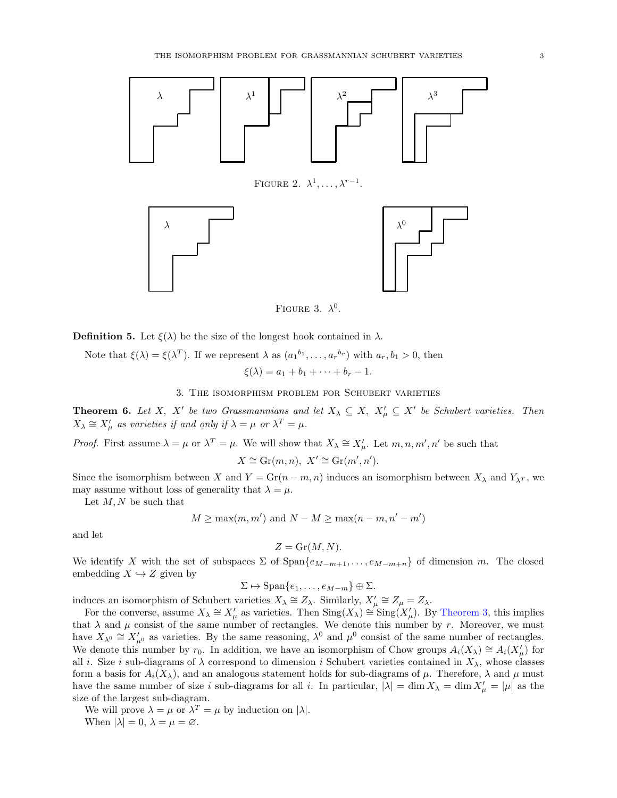<span id="page-2-3"></span><span id="page-2-2"></span>

FIGURE 3.  $\lambda^0$ .

**Definition 5.** Let  $\xi(\lambda)$  be the size of the longest hook contained in  $\lambda$ .

Note that 
$$
\xi(\lambda) = \xi(\lambda^T)
$$
. If we represent  $\lambda$  as  $(a_1^{b_1}, \dots, a_r^{b_r})$  with  $a_r, b_1 > 0$ , then  
 $\xi(\lambda) = a_1 + b_1 + \dots + b_r - 1$ .

3. The isomorphism problem for Schubert varieties

<span id="page-2-1"></span><span id="page-2-0"></span>**Theorem 6.** Let X, X' be two Grassmannians and let  $X_{\lambda} \subseteq X$ ,  $X_{\mu}' \subseteq X'$  be Schubert varieties. Then  $X_{\lambda} \cong X_{\mu}'$  as varieties if and only if  $\lambda = \mu$  or  $\lambda^T = \mu$ .

*Proof.* First assume  $\lambda = \mu$  or  $\lambda^T = \mu$ . We will show that  $X_{\lambda} \cong X_{\mu}'$ . Let  $m, n, m', n'$  be such that

$$
X \cong \operatorname{Gr}(m, n), X' \cong \operatorname{Gr}(m', n').
$$

Since the isomorphism between X and  $Y = \text{Gr}(n-m, n)$  induces an isomorphism between  $X_{\lambda}$  and  $Y_{\lambda}$ , we may assume without loss of generality that  $\lambda = \mu$ .

Let  $M, N$  be such that

$$
M \ge \max(m, m')
$$
 and  $N - M \ge \max(n - m, n' - m')$ 

and let

$$
Z = \operatorname{Gr}(M, N).
$$

We identify X with the set of subspaces  $\Sigma$  of  $\text{Span}\{e_{M-m+1}, \ldots, e_{M-m+n}\}\$  of dimension m. The closed embedding  $X \hookrightarrow Z$  given by

$$
\Sigma \mapsto \mathrm{Span}\{e_1,\ldots,e_{M-m}\}\oplus \Sigma.
$$

induces an isomorphism of Schubert varieties  $X_{\lambda} \cong Z_{\lambda}$ . Similarly,  $X'_{\mu} \cong Z_{\mu} = Z_{\lambda}$ .

For the converse, assume  $X_{\lambda} \cong X'_{\mu}$  as varieties. Then  $\text{Sing}(X_{\lambda}) \cong \text{Sing}(X'_{\mu})$ . By [Theorem 3,](#page-1-2) this implies that  $\lambda$  and  $\mu$  consist of the same number of rectangles. We denote this number by r. Moreover, we must have  $X_{\lambda^0} \cong X'_{\mu^0}$  as varieties. By the same reasoning,  $\lambda^0$  and  $\mu^0$  consist of the same number of rectangles. We denote this number by r<sub>0</sub>. In addition, we have an isomorphism of Chow groups  $A_i(X_\lambda) \cong A_i(X'_\mu)$  for all *i*. Size *i* sub-diagrams of  $\lambda$  correspond to dimension *i* Schubert varieties contained in  $X_{\lambda}$ , whose classes form a basis for  $A_i(X_\lambda)$ , and an analogous statement holds for sub-diagrams of  $\mu$ . Therefore,  $\lambda$  and  $\mu$  must have the same number of size i sub-diagrams for all i. In particular,  $|\lambda| = \dim X_\lambda = \dim X'_\mu = |\mu|$  as the size of the largest sub-diagram.

We will prove  $\lambda = \mu$  or  $\lambda^T = \mu$  by induction on  $|\lambda|$ . When  $|\lambda| = 0$ ,  $\lambda = \mu = \emptyset$ .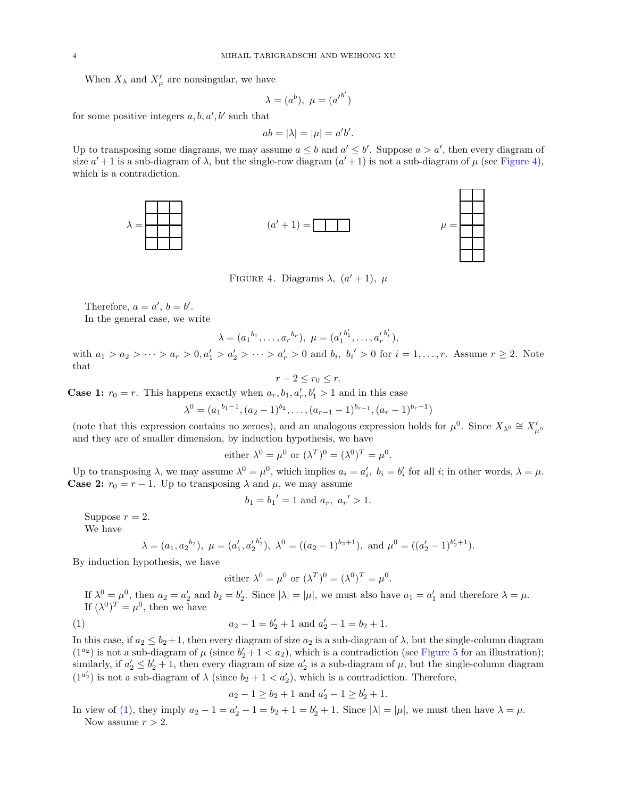When  $X_{\lambda}$  and  $X'_{\mu}$  are nonsingular, we have

$$
\lambda = (a^b), \ \mu = (a^{\prime b'})
$$

for some positive integers  $a, b, a', b'$  such that

$$
ab = |\lambda| = |\mu| = a'b'.
$$

<span id="page-3-0"></span>Up to transposing some diagrams, we may assume  $a \leq b$  and  $a' \leq b'$ . Suppose  $a > a'$ , then every diagram of size  $a' + 1$  is a sub-diagram of  $\lambda$ , but the single-row diagram  $(a' + 1)$  is not a sub-diagram of  $\mu$  (see [Figure 4\)](#page-3-0), which is a contradiction.



FIGURE 4. Diagrams  $\lambda$ ,  $(a'+1)$ ,  $\mu$ 

Therefore,  $a = a'$ ,  $b = b'$ .

In the general case, we write

$$
\lambda = (a_1^{b_1}, \dots, a_r^{b_r}), \ \mu = (a'_1^{b'_1}, \dots, a'_r^{b'_r}),
$$

with  $a_1 > a_2 > \cdots > a_r > 0, a'_1 > a'_2 > \cdots > a'_r > 0$  and  $b_i, b_i' > 0$  for  $i = 1, \ldots, r$ . Assume  $r \ge 2$ . Note that

$$
r-2 \le r_0 \le r.
$$

**Case 1:**  $r_0 = r$ . This happens exactly when  $a_r, b_1, a'_r, b'_1 > 1$  and in this case

$$
\lambda^{0} = (a_{1}^{b_{1}-1}, (a_{2}-1)^{b_{2}}, \ldots, (a_{r-1}-1)^{b_{r-1}}, (a_{r}-1)^{b_{r}+1})
$$

(note that this expression contains no zeroes), and an analogous expression holds for  $\mu^0$ . Since  $X_{\lambda^0} \cong X'_{\mu^0}$ and they are of smaller dimension, by induction hypothesis, we have

either 
$$
\lambda^0 = \mu^0
$$
 or  $(\lambda^T)^0 = (\lambda^0)^T = \mu^0$ .

Up to transposing  $\lambda$ , we may assume  $\lambda^0 = \mu^0$ , which implies  $a_i = a'_i$ ,  $b_i = b'_i$  for all *i*; in other words,  $\lambda = \mu$ . **Case 2:**  $r_0 = r - 1$ . Up to transposing  $\lambda$  and  $\mu$ , we may assume

$$
b_1 = b_1' = 1
$$
 and  $a_r, a_{r'} > 1$ .

Suppose  $r = 2$ . We have

$$
\lambda = (a_1, a_2^{b_2}), \ \mu = (a'_1, a'_2^{b'_2}), \ \lambda^0 = ((a_2 - 1)^{b_2+1}), \text{ and } \mu^0 = ((a'_2 - 1)^{b'_2+1}).
$$

By induction hypothesis, we have

<span id="page-3-1"></span>either  $\lambda^0 = \mu^0$  or  $(\lambda^T)^0 = (\lambda^0)^T = \mu^0$ .

If  $\lambda^0 = \mu^0$ , then  $a_2 = a'_2$  and  $b_2 = b'_2$ . Since  $|\lambda| = |\mu|$ , we must also have  $a_1 = a'_1$  and therefore  $\lambda = \mu$ . If  $(\lambda^0)^T = \mu^0$ , then we have

(1) 
$$
a_2 - 1 = b'_2 + 1 \text{ and } a'_2 - 1 = b_2 + 1.
$$

In this case, if  $a_2 \le b_2+1$ , then every diagram of size  $a_2$  is a sub-diagram of  $\lambda$ , but the single-column diagram  $(1^{a_2})$  is not a sub-diagram of  $\mu$  (since  $b'_2 + 1 < a_2$ ), which is a contradiction (see [Figure 5](#page-4-0) for an illustration); similarly, if  $a'_2 \leq b'_2 + 1$ , then every diagram of size  $a'_2$  is a sub-diagram of  $\mu$ , but the single-column diagram  $(1^{a'_2})$  is not a sub-diagram of  $\lambda$  (since  $b_2 + 1 < a'_2$ ), which is a contradiction. Therefore,

$$
a_2 - 1 \ge b_2 + 1
$$
 and  $a'_2 - 1 \ge b'_2 + 1$ .

In view of [\(1\),](#page-3-1) they imply  $a_2 - 1 = a'_2 - 1 = b_2 + 1 = b'_2 + 1$ . Since  $|\lambda| = |\mu|$ , we must then have  $\lambda = \mu$ . Now assume  $r > 2$ .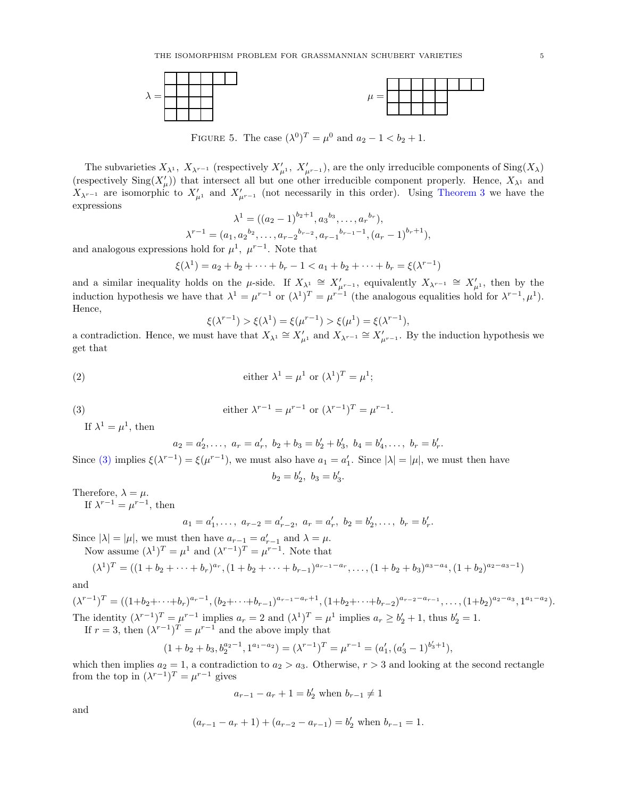<span id="page-4-0"></span>

FIGURE 5. The case  $(\lambda^{0})^{T} = \mu^{0}$  and  $a_{2} - 1 < b_{2} + 1$ .

The subvarieties  $X_{\lambda^1}$ ,  $X_{\lambda^{r-1}}$  (respectively  $X'_{\mu^1}$ ,  $X'_{\mu^{r-1}}$ ), are the only irreducible components of  $\text{Sing}(X_{\lambda})$ (respectively  $\text{Sing}(X'_\mu)$ ) that intersect all but one other irreducible component properly. Hence,  $X_{\lambda^1}$  and  $X_{\lambda^{r-1}}$  are isomorphic to  $X'_{\mu^{1}}$  and  $X'_{\mu^{r-1}}$  (not necessarily in this order). Using [Theorem 3](#page-1-2) we have the expressions

$$
\lambda^{1} = ((a_2 - 1)^{b_2 + 1}, a_3^{b_3}, \dots, a_r^{b_r}),
$$
  

$$
\lambda^{r-1} = (a_1, a_2^{b_2}, \dots, a_{r-2}^{b_{r-2}}, a_{r-1}^{b_{r-1}-1}, (a_r - 1)^{b_r+1}),
$$

and analogous expressions hold for  $\mu^1$ ,  $\mu^{r-1}$ . Note that

$$
\xi(\lambda^1) = a_2 + b_2 + \dots + b_r - 1 < a_1 + b_2 + \dots + b_r = \xi(\lambda^{r-1})
$$

and a similar inequality holds on the  $\mu$ -side. If  $X_{\lambda^1} \cong X'_{\mu^{r-1}}$ , equivalently  $X_{\lambda^{r-1}} \cong X'_{\mu^1}$ , then by the induction hypothesis we have that  $\lambda^1 = \mu^{r-1}$  or  $(\lambda^1)^T = \mu^{r-1}$  (the analogous equalities hold for  $\lambda^{r-1}, \mu^1$ ). Hence,

$$
\xi(\lambda^{r-1}) > \xi(\lambda^1) = \xi(\mu^{r-1}) > \xi(\mu^1) = \xi(\lambda^{r-1}),
$$

a contradiction. Hence, we must have that  $X_{\lambda^1} \cong X'_{\mu^1}$  and  $X_{\lambda^{r-1}} \cong X'_{\mu^{r-1}}$ . By the induction hypothesis we get that

(2) 
$$
\text{either } \lambda^1 = \mu^1 \text{ or } (\lambda^1)^T = \mu^1;
$$

$$
(3)
$$

(3) 
$$
\text{either } \lambda^{r-1} = \mu^{r-1} \text{ or } (\lambda^{r-1})^T = \mu^{r-1}.
$$

If  $\lambda^1 = \mu^1$ , then

<span id="page-4-1"></span>
$$
a_2 = a'_2, \ldots, a_r = a'_r, b_2 + b_3 = b'_2 + b'_3, b_4 = b'_4, \ldots, b_r = b'_r.
$$

Since [\(3\)](#page-4-1) implies  $\xi(\lambda^{r-1}) = \xi(\mu^{r-1})$ , we must also have  $a_1 = a'_1$ . Since  $|\lambda| = |\mu|$ , we must then have ′ ′ .

$$
b_2 = b'_2, \ b_3 = b'_3
$$

Therefore,  $\lambda = \mu$ .

If  $\lambda^{r-1} = \mu^{r-1}$ , then

$$
a_1 = a'_1, \ldots, a_{r-2} = a'_{r-2}, a_r = a'_r, b_2 = b'_2, \ldots, b_r = b'_r.
$$

Since  $|\lambda| = |\mu|$ , we must then have  $a_{r-1} = a'_{r-1}$  and  $\lambda = \mu$ .

Now assume 
$$
(\lambda^1)^T = \mu^1
$$
 and  $(\lambda^{r-1})^T = \mu^{r-1}$ . Note that

$$
(\lambda^1)^T = ((1+b_2+\cdots+b_r)^{a_r}, (1+b_2+\cdots+b_{r-1})^{a_{r-1}-a_r}, \ldots, (1+b_2+b_3)^{a_3-a_4}, (1+b_2)^{a_2-a_3-1})
$$

and

 $\overline{(}$ 

 $(\lambda^{r-1})^T = ((1+b_2+\cdots+b_r)^{a_r-1}, (b_2+\cdots+b_{r-1})^{a_{r-1}-a_r+1}, (1+b_2+\cdots+b_{r-2})^{a_{r-2}-a_{r-1}}, \ldots, (1+b_2)^{a_2-a_3}, 1^{a_1-a_2}).$ The identity  $(\lambda^{r-1})^T = \mu^{r-1}$  implies  $a_r = 2$  and  $(\lambda^1)^T = \mu^1$  implies  $a_r \ge b'_2 + 1$ , thus  $b'_2 = 1$ . If  $r = 3$ , then  $(\lambda^{r-1})^T = \mu^{r-1}$  and the above imply that

$$
(1+b_2+b_3,b_2^{a_2-1},1^{a_1-a_2})=(\lambda^{r-1})^T=\mu^{r-1}=(a'_1,(a'_3-1)^{b'_3+1}),
$$

which then implies  $a_2 = 1$ , a contradiction to  $a_2 > a_3$ . Otherwise,  $r > 3$  and looking at the second rectangle from the top in  $(\lambda^{r-1})^T = \mu^{r-1}$  gives

$$
a_{r-1} - a_r + 1 = b'_2
$$
 when  $b_{r-1} \neq 1$ 

and

$$
(a_{r-1} - a_r + 1) + (a_{r-2} - a_{r-1}) = b'_2
$$
 when  $b_{r-1} = 1$ .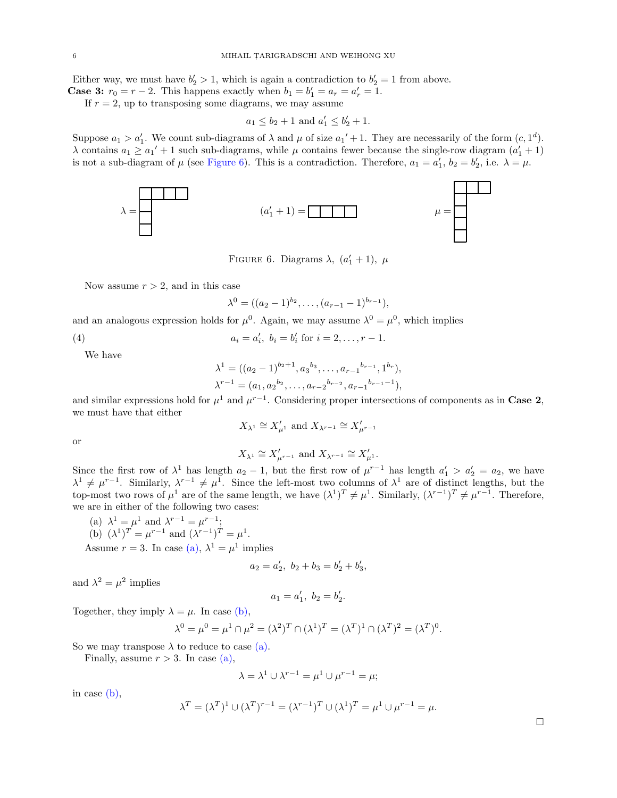Either way, we must have  $b'_2 > 1$ , which is again a contradiction to  $b'_2 = 1$  from above.

**Case 3:**  $r_0 = r - 2$ . This happens exactly when  $b_1 = b'_1 = a_r = a'_r = 1$ .

If  $r = 2$ , up to transposing some diagrams, we may assume

$$
a_1 \leq b_2 + 1
$$
 and  $a'_1 \leq b'_2 + 1$ .

<span id="page-5-0"></span>Suppose  $a_1 > a'_1$ . We count sub-diagrams of  $\lambda$  and  $\mu$  of size  $a_1' + 1$ . They are necessarily of the form  $(c, 1^d)$ .  $\lambda$  contains  $a_1 \geq a_1' + 1$  such sub-diagrams, while  $\mu$  contains fewer because the single-row diagram  $(a'_1 + 1)$ is not a sub-diagram of  $\mu$  (see [Figure 6\)](#page-5-0). This is a contradiction. Therefore,  $a_1 = a'_1$ ,  $b_2 = b'_2$ , i.e.  $\lambda = \mu$ .



FIGURE 6. Diagrams  $\lambda$ ,  $(a'_1 + 1)$ ,  $\mu$ 

Now assume  $r > 2$ , and in this case

$$
\lambda^{0} = ((a_{2}-1)^{b_{2}}, \ldots, (a_{r-1}-1)^{b_{r-1}}),
$$

and an analogous expression holds for  $\mu^0$ . Again, we may assume  $\lambda^0 = \mu^0$ , which implies

(4) 
$$
a_i = a'_i, \ b_i = b'_i \text{ for } i = 2, \dots, r-1.
$$

We have

$$
\lambda^{1} = ((a_{2} - 1)^{b_{2}+1}, a_{3}^{b_{3}}, \dots, a_{r-1}^{b_{r-1}}, 1^{b_{r}}),
$$
  

$$
\lambda^{r-1} = (a_{1}, a_{2}^{b_{2}}, \dots, a_{r-2}^{b_{r-2}}, a_{r-1}^{b_{r-1}-1}),
$$

and similar expressions hold for  $\mu^1$  and  $\mu^{r-1}$ . Considering proper intersections of components as in Case 2, we must have that either

$$
X_{\lambda^1} \cong X'_{\mu^1}
$$
 and  $X_{\lambda^{r-1}} \cong X'_{\mu^{r-1}}$ 

or

$$
X_{\lambda^1} \cong X'_{\mu^{r-1}} \text{ and } X_{\lambda^{r-1}} \cong X'_{\mu^1}.
$$

Since the first row of  $\lambda^1$  has length  $a_2 - 1$ , but the first row of  $\mu^{r-1}$  has length  $a'_1 > a'_2 = a_2$ , we have  $\lambda^1 \neq \mu^{r-1}$ . Similarly,  $\lambda^{r-1} \neq \mu^1$ . Since the left-most two columns of  $\lambda^1$  are of distinct lengths, but the top-most two rows of  $\mu^1$  are of the same length, we have  $(\lambda^1)^T \neq \mu^1$ . Similarly,  $(\lambda^{r-1})^T \neq \mu^{r-1}$ . Therefore, we are in either of the following two cases:

<span id="page-5-2"></span><span id="page-5-1"></span>(a)  $\lambda^1 = \mu^1$  and  $\lambda^{r-1} = \mu^{r-1}$ ; (b)  $(\lambda^1)^T = \mu^{r-1}$  and  $(\lambda^{r-1})^T = \mu^1$ .

Assume  $r = 3$ . In case [\(a\),](#page-5-1)  $\lambda^1 = \mu^1$  implies

$$
a_2 = a'_2, \ b_2 + b_3 = b'_2 + b'_3,
$$

and  $\lambda^2 = \mu^2$  implies

$$
a_1 = a'_1, \ b_2 = b'_2.
$$

Together, they imply  $\lambda = \mu$ . In case [\(b\),](#page-5-2)

$$
\lambda^{0} = \mu^{0} = \mu^{1} \cap \mu^{2} = (\lambda^{2})^{T} \cap (\lambda^{1})^{T} = (\lambda^{T})^{1} \cap (\lambda^{T})^{2} = (\lambda^{T})^{0}.
$$

So we may transpose  $\lambda$  to reduce to case [\(a\).](#page-5-1)

Finally, assume  $r > 3$ . In case [\(a\),](#page-5-1)

$$
\lambda = \lambda^1 \cup \lambda^{r-1} = \mu^1 \cup \mu^{r-1} = \mu;
$$

in case [\(b\),](#page-5-2)

$$
\lambda^T = (\lambda^T)^1 \cup (\lambda^T)^{r-1} = (\lambda^{r-1})^T \cup (\lambda^1)^T = \mu^1 \cup \mu^{r-1} = \mu.
$$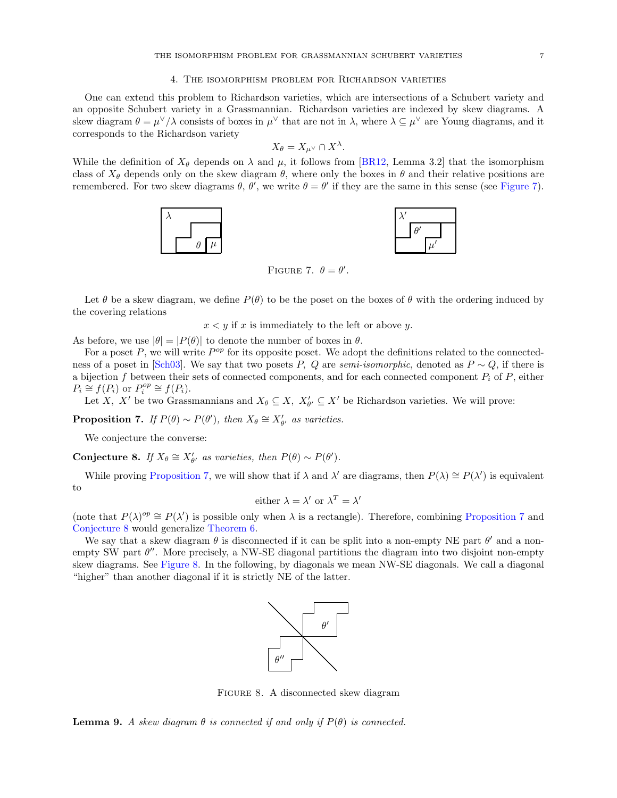#### 4. The isomorphism problem for Richardson varieties

<span id="page-6-1"></span>One can extend this problem to Richardson varieties, which are intersections of a Schubert variety and an opposite Schubert variety in a Grassmannian. Richardson varieties are indexed by skew diagrams. A skew diagram  $\theta = \mu^{\vee}/\lambda$  consists of boxes in  $\mu^{\vee}$  that are not in  $\lambda$ , where  $\lambda \subseteq \mu^{\vee}$  are Young diagrams, and it corresponds to the Richardson variety

$$
X_{\theta} = X_{\mu^{\vee}} \cap X^{\lambda}.
$$

<span id="page-6-2"></span>While the definition of  $X_{\theta}$  depends on  $\lambda$  and  $\mu$ , it follows from [\[BR12,](#page-9-3) Lemma 3.2] that the isomorphism class of  $X_{\theta}$  depends only on the skew diagram  $\theta$ , where only the boxes in  $\theta$  and their relative positions are remembered. For two skew diagrams  $\theta$ ,  $\theta'$ , we write  $\theta = \theta'$  if they are the same in this sense (see [Figure 7\)](#page-6-2).



FIGURE 7.  $\theta = \theta'$ .

Let  $\theta$  be a skew diagram, we define  $P(\theta)$  to be the poset on the boxes of  $\theta$  with the ordering induced by the covering relations

 $x < y$  if x is immediately to the left or above y.

As before, we use  $|\theta| = |P(\theta)|$  to denote the number of boxes in  $\theta$ .

For a poset  $P$ , we will write  $P^{op}$  for its opposite poset. We adopt the definitions related to the connected-ness of a poset in [\[Sch03\]](#page-9-4). We say that two posets P, Q are semi-isomorphic, denoted as  $P \sim Q$ , if there is a bijection f between their sets of connected components, and for each connected component  $P_i$  of  $P$ , either  $P_i \cong f(P_i)$  or  $P_i^{op} \cong f(P_i)$ .

Let X, X' be two Grassmannians and  $X_{\theta} \subseteq X$ ,  $X'_{\theta'} \subseteq X'$  be Richardson varieties. We will prove:

<span id="page-6-0"></span>**Proposition 7.** If  $P(\theta) \sim P(\theta')$ , then  $X_{\theta} \cong X'_{\theta'}$  as varieties.

We conjecture the converse:

<span id="page-6-3"></span>Conjecture 8. If  $X_{\theta} \cong X'_{\theta'}$  as varieties, then  $P(\theta) \sim P(\theta')$ .

While proving [Proposition 7,](#page-6-0) we will show that if  $\lambda$  and  $\lambda'$  are diagrams, then  $P(\lambda) \cong P(\lambda')$  is equivalent to

either 
$$
\lambda = \lambda'
$$
 or  $\lambda^T = \lambda'$ 

(note that  $P(\lambda)^{op} \cong P(\lambda')$  is possible only when  $\lambda$  is a rectangle). Therefore, combining [Proposition 7](#page-6-0) and [Conjecture 8](#page-6-3) would generalize [Theorem 6.](#page-2-0)

<span id="page-6-4"></span>We say that a skew diagram  $\theta$  is disconnected if it can be split into a non-empty NE part  $\theta'$  and a nonempty SW part  $\theta''$ . More precisely, a NW-SE diagonal partitions the diagram into two disjoint non-empty skew diagrams. See [Figure 8.](#page-6-4) In the following, by diagonals we mean NW-SE diagonals. We call a diagonal "higher" than another diagonal if it is strictly NE of the latter.



Figure 8. A disconnected skew diagram

<span id="page-6-5"></span>**Lemma 9.** A skew diagram  $\theta$  is connected if and only if  $P(\theta)$  is connected.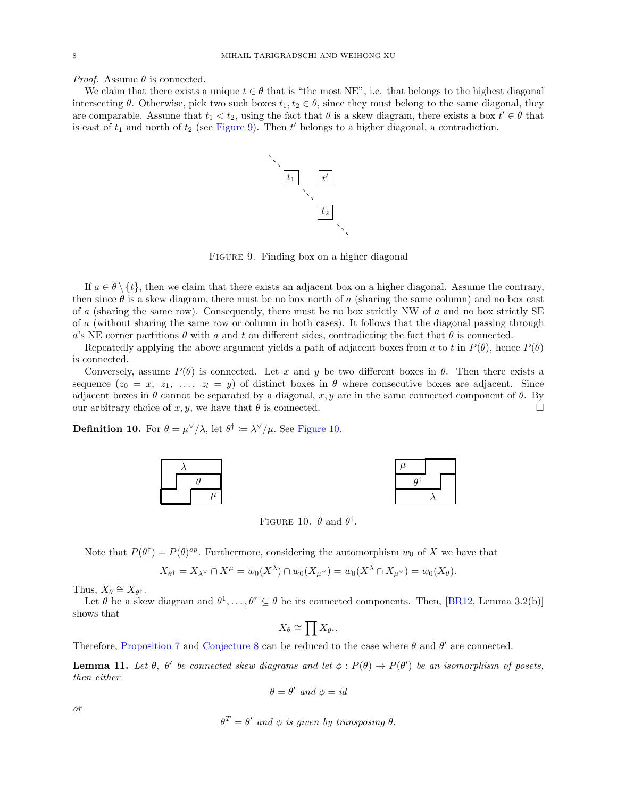*Proof.* Assume  $\theta$  is connected.

<span id="page-7-0"></span>We claim that there exists a unique  $t \in \theta$  that is "the most NE", i.e. that belongs to the highest diagonal intersecting  $\theta$ . Otherwise, pick two such boxes  $t_1, t_2 \in \theta$ , since they must belong to the same diagonal, they are comparable. Assume that  $t_1 < t_2$ , using the fact that  $\theta$  is a skew diagram, there exists a box  $t' \in \theta$  that is east of  $t_1$  and north of  $t_2$  (see [Figure 9\)](#page-7-0). Then  $t'$  belongs to a higher diagonal, a contradiction.



FIGURE 9. Finding box on a higher diagonal

If  $a \in \theta \setminus \{t\}$ , then we claim that there exists an adjacent box on a higher diagonal. Assume the contrary, then since  $\theta$  is a skew diagram, there must be no box north of a (sharing the same column) and no box east of a (sharing the same row). Consequently, there must be no box strictly NW of a and no box strictly SE of a (without sharing the same row or column in both cases). It follows that the diagonal passing through a's NE corner partitions  $\theta$  with a and t on different sides, contradicting the fact that  $\theta$  is connected.

Repeatedly applying the above argument yields a path of adjacent boxes from a to t in  $P(\theta)$ , hence  $P(\theta)$ is connected.

Conversely, assume  $P(\theta)$  is connected. Let x and y be two different boxes in  $\theta$ . Then there exists a sequence  $(z_0 = x, z_1, \ldots, z_l = y)$  of distinct boxes in  $\theta$  where consecutive boxes are adjacent. Since adjacent boxes in  $\theta$  cannot be separated by a diagonal, x, y are in the same connected component of  $\theta$ . By our arbitrary choice of x, y, we have that  $\theta$  is connected.

<span id="page-7-1"></span>**Definition 10.** For  $\theta = \mu^{\vee}/\lambda$ , let  $\theta^{\dagger} \coloneqq \lambda^{\vee}/\mu$ . See [Figure 10.](#page-7-1)



FIGURE 10.  $\theta$  and  $\theta^{\dagger}$ .

Note that  $P(\theta^{\dagger}) = P(\theta)^{op}$ . Furthermore, considering the automorphism  $w_0$  of X we have that

$$
X_{\theta^{\dagger}} = X_{\lambda^{\vee}} \cap X^{\mu} = w_0(X^{\lambda}) \cap w_0(X_{\mu^{\vee}}) = w_0(X^{\lambda} \cap X_{\mu^{\vee}}) = w_0(X_{\theta}).
$$

Thus,  $X_{\theta} \cong X_{\theta^{\dagger}}$ .

Let  $\theta$  be a skew diagram and  $\theta^1, \ldots, \theta^r \subseteq \theta$  be its connected components. Then, [\[BR12,](#page-9-3) Lemma 3.2(b)] shows that

$$
X_\theta \cong \prod X_{\theta^i}.
$$

Therefore, [Proposition 7](#page-6-0) and [Conjecture 8](#page-6-3) can be reduced to the case where  $\theta$  and  $\theta'$  are connected.

**Lemma 11.** Let  $\theta$ ,  $\theta'$  be connected skew diagrams and let  $\phi$ :  $P(\theta) \to P(\theta')$  be an isomorphism of posets, then either

$$
\theta = \theta' \text{ and } \phi = id
$$

or

$$
\theta^T = \theta' \text{ and } \phi \text{ is given by transposing } \theta.
$$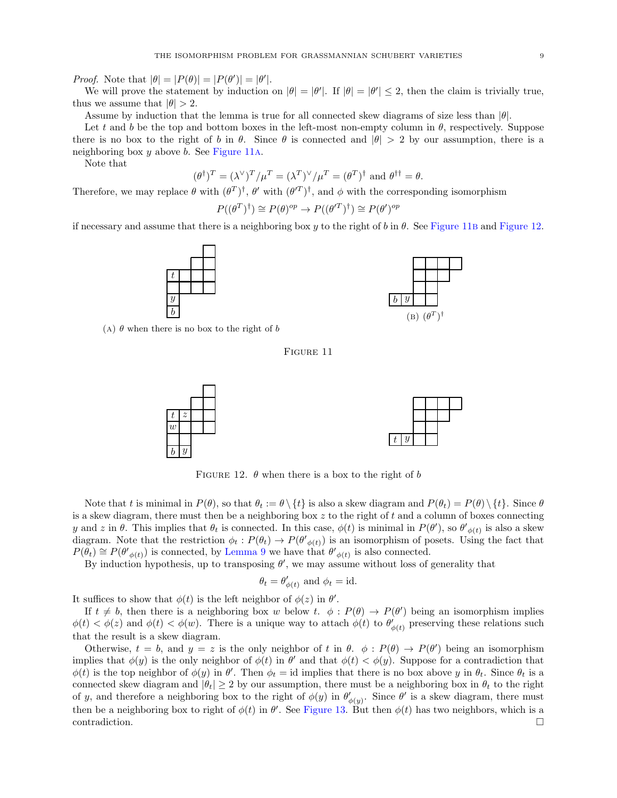*Proof.* Note that  $|\theta| = |P(\theta)| = |P(\theta')| = |\theta'|$ .

We will prove the statement by induction on  $|\theta| = |\theta'|$ . If  $|\theta| = |\theta'| \leq 2$ , then the claim is trivially true, thus we assume that  $|\theta| > 2$ .

Assume by induction that the lemma is true for all connected skew diagrams of size less than  $|\theta|$ .

Let t and b be the top and bottom boxes in the left-most non-empty column in  $\theta$ , respectively. Suppose there is no box to the right of b in  $\theta$ . Since  $\theta$  is connected and  $|\theta| > 2$  by our assumption, there is a neighboring box  $y$  above  $b$ . See [Figure 11](#page-8-0)A.

Note that

$$
(\theta^{\dagger})^T = (\lambda^{\vee})^T / \mu^T = (\lambda^T)^{\vee} / \mu^T = (\theta^T)^{\dagger} \text{ and } \theta^{\dagger \dagger} = \theta.
$$

Therefore, we may replace  $\theta$  with  $(\theta^T)^{\dagger}$ ,  $\theta'$  with  $(\theta^T)^{\dagger}$ , and  $\phi$  with the corresponding isomorphism

$$
P((\theta^T)^{\dagger}) \cong P(\theta)^{op} \to P((\theta'^T)^{\dagger}) \cong P(\theta')^{op}
$$

<span id="page-8-0"></span>if necessary and assume that there is a neighboring box y to the right of b in  $\theta$ . See [Figure 11](#page-8-0)B and [Figure 12.](#page-8-1)





<span id="page-8-1"></span>(A)  $\theta$  when there is no box to the right of b

# Figure 11



FIGURE 12.  $\theta$  when there is a box to the right of b

Note that t is minimal in  $P(\theta)$ , so that  $\theta_t := \theta \setminus \{t\}$  is also a skew diagram and  $P(\theta_t) = P(\theta) \setminus \{t\}$ . Since  $\theta$ is a skew diagram, there must then be a neighboring box  $z$  to the right of t and a column of boxes connecting y and z in  $\theta$ . This implies that  $\theta_t$  is connected. In this case,  $\phi(t)$  is minimal in  $P(\theta')$ , so  $\theta'_{\phi(t)}$  is also a skew diagram. Note that the restriction  $\phi_t: P(\theta_t) \to P(\theta'_{\phi(t)})$  is an isomorphism of posets. Using the fact that  $P(\tilde{\theta}_t) \cong P(\theta'_{\phi(t)})$  is connected, by [Lemma 9](#page-6-5) we have that  $\theta'_{\phi(t)}$  is also connected.

By induction hypothesis, up to transposing  $\theta'$ , we may assume without loss of generality that

$$
\theta_t = \theta'_{\phi(t)}
$$
 and  $\phi_t = id$ .

It suffices to show that  $\phi(t)$  is the left neighbor of  $\phi(z)$  in  $\theta'$ .

If  $t \neq b$ , then there is a neighboring box w below t.  $\phi : P(\theta) \to P(\theta')$  being an isomorphism implies  $\phi(t) < \phi(z)$  and  $\phi(t) < \phi(w)$ . There is a unique way to attach  $\phi(t)$  to  $\theta'_{\phi(t)}$  preserving these relations such that the result is a skew diagram.

Otherwise,  $t = b$ , and  $y = z$  is the only neighbor of t in  $\theta$ .  $\phi : P(\theta) \to P(\theta')$  being an isomorphism implies that  $\phi(y)$  is the only neighbor of  $\phi(t)$  in  $\theta'$  and that  $\phi(t) < \phi(y)$ . Suppose for a contradiction that  $\phi(t)$  is the top neighbor of  $\phi(y)$  in  $\theta'$ . Then  $\phi_t = id$  implies that there is no box above y in  $\theta_t$ . Since  $\theta_t$  is a connected skew diagram and  $|\theta_t| \geq 2$  by our assumption, there must be a neighboring box in  $\theta_t$  to the right of y, and therefore a neighboring box to the right of  $\phi(y)$  in  $\theta'_{\phi(y)}$ . Since  $\theta'$  is a skew diagram, there must then be a neighboring box to right of  $\phi(t)$  in  $\theta'$ . See [Figure 13.](#page-9-5) But then  $\phi(t)$  has two neighbors, which is a  $\Box$ contradiction.